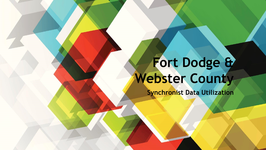# **Fort Dodge & Webster County**

**Synchronist Data Utilization**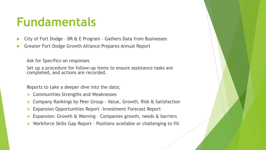#### **Fundamentals**

- City of Fort Dodge BR & E Program Gathers Data from Businesses
- Greater Fort Dodge Growth Alliance Prepares Annual Report

Ask for Specifics on responses

Set up a procedure for follow-up items to ensure assistance tasks are completed, and actions are recorded.

Reports to take a deeper dive into the data;

- **↑ Communities Strengths and Weaknesses**
- Company Rankings by Peer Group Value, Growth, Risk & Satisfaction
- Expansion Opportunities Report –Investment Forecast Report
- Expansion: Growth & Warning Companies growth, needs & barriers
- ◆ Workforce Skills Gap Report Positions available or challenging to fill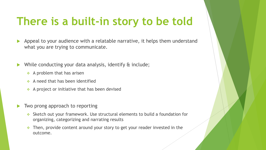#### **There is a built-in story to be told**

- Appeal to your audience with a relatable narrative, it helps them understand what you are trying to communicate.
- While conducting your data analysis, identify & include;
	- $\triangle$  A problem that has arisen
	- $\triangle$  A need that has been identified
	- $\triangle$  A project or initiative that has been devised
- Two prong approach to reporting
	- Sketch out your framework. Use structural elements to build a foundation for organizing, categorizing and narrating results
	- $\cdot$  Then, provide content around your story to get your reader invested in the outcome.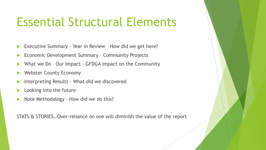## Essential Structural Elements

- Executive Summary Year in Review How did we get here?
- Economic Development Summary Community Projects
- What we Do Our Impact GFDGA impact on the Community
- Webster County Economy
- Interpreting Results What did we discovered
- Looking into the future
- Note Methodology How did we do this?

STATS & STORIES…Over-reliance on one will diminish the value of the report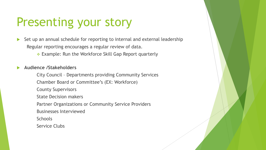## Presenting your story

- $\triangleright$  Set up an annual schedule for reporting to internal and external leadership Regular reporting encourages a regular review of data.
	- Example: Run the Workforce Skill Gap Report quarterly

**Audience /Stakeholders**

City Council – Departments providing Community Services Chamber Board or Committee's (EX: Workforce) County Supervisors State Decision makers Partner Organizations or Community Service Providers Businesses Interviewed **Schools** Service Clubs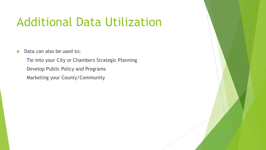## Additional Data Utilization

Data can also be used to;

Tie into your City or Chambers Strategic Planning Develop Public Policy and Programs Marketing your County/Community